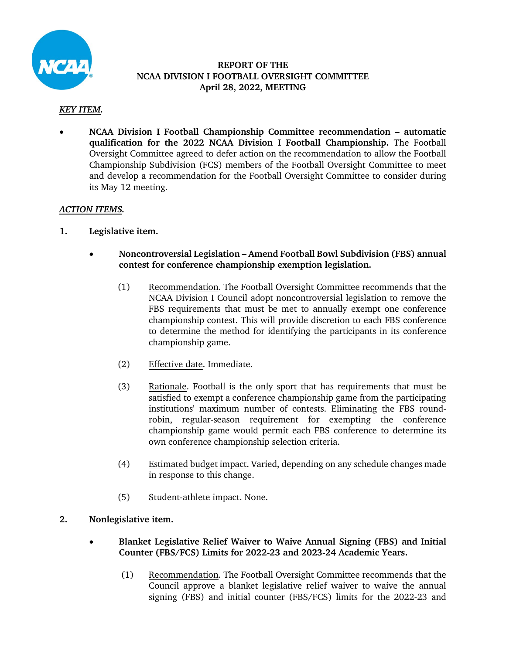

## **REPORT OF THE NCAA DIVISION I FOOTBALL OVERSIGHT COMMITTEE April 28, 2022, MEETING**

## *KEY ITEM.*

• **NCAA Division I Football Championship Committee recommendation – automatic qualification for the 2022 NCAA Division I Football Championship.** The Football Oversight Committee agreed to defer action on the recommendation to allow the Football Championship Subdivision (FCS) members of the Football Oversight Committee to meet and develop a recommendation for the Football Oversight Committee to consider during its May 12 meeting.

## *ACTION ITEMS.*

- **1. Legislative item.**
	- **Noncontroversial Legislation Amend Football Bowl Subdivision (FBS) annual contest for conference championship exemption legislation.** 
		- (1) Recommendation. The Football Oversight Committee recommends that the NCAA Division I Council adopt noncontroversial legislation to remove the FBS requirements that must be met to annually exempt one conference championship contest. This will provide discretion to each FBS conference to determine the method for identifying the participants in its conference championship game.
		- (2) Effective date. Immediate.
		- (3) Rationale. Football is the only sport that has requirements that must be satisfied to exempt a conference championship game from the participating institutions' maximum number of contests. Eliminating the FBS roundrobin, regular-season requirement for exempting the conference championship game would permit each FBS conference to determine its own conference championship selection criteria.
		- (4) Estimated budget impact. Varied, depending on any schedule changes made in response to this change.
		- (5) Student-athlete impact. None.
- **2. Nonlegislative item.** 
	- **Blanket Legislative Relief Waiver to Waive Annual Signing (FBS) and Initial Counter (FBS/FCS) Limits for 2022-23 and 2023-24 Academic Years.** 
		- (1) Recommendation. The Football Oversight Committee recommends that the Council approve a blanket legislative relief waiver to waive the annual signing (FBS) and initial counter (FBS/FCS) limits for the 2022-23 and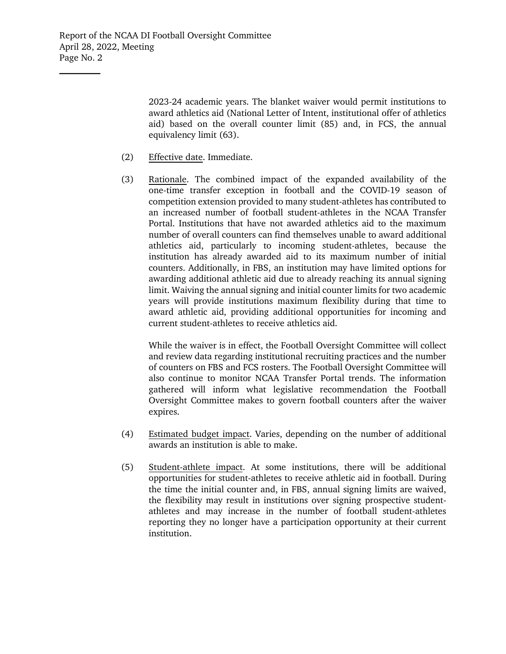$\mathcal{L}_\text{max}$ 

2023-24 academic years. The blanket waiver would permit institutions to award athletics aid (National Letter of Intent, institutional offer of athletics aid) based on the overall counter limit (85) and, in FCS, the annual equivalency limit (63).

- (2) Effective date. Immediate.
- (3) Rationale. The combined impact of the expanded availability of the one-time transfer exception in football and the COVID-19 season of competition extension provided to many student-athletes has contributed to an increased number of football student-athletes in the NCAA Transfer Portal. Institutions that have not awarded athletics aid to the maximum number of overall counters can find themselves unable to award additional athletics aid, particularly to incoming student-athletes, because the institution has already awarded aid to its maximum number of initial counters. Additionally, in FBS, an institution may have limited options for awarding additional athletic aid due to already reaching its annual signing limit. Waiving the annual signing and initial counter limits for two academic years will provide institutions maximum flexibility during that time to award athletic aid, providing additional opportunities for incoming and current student-athletes to receive athletics aid.

While the waiver is in effect, the Football Oversight Committee will collect and review data regarding institutional recruiting practices and the number of counters on FBS and FCS rosters. The Football Oversight Committee will also continue to monitor NCAA Transfer Portal trends. The information gathered will inform what legislative recommendation the Football Oversight Committee makes to govern football counters after the waiver expires.

- (4) Estimated budget impact. Varies, depending on the number of additional awards an institution is able to make.
- (5) Student-athlete impact. At some institutions, there will be additional opportunities for student-athletes to receive athletic aid in football. During the time the initial counter and, in FBS, annual signing limits are waived, the flexibility may result in institutions over signing prospective studentathletes and may increase in the number of football student-athletes reporting they no longer have a participation opportunity at their current institution.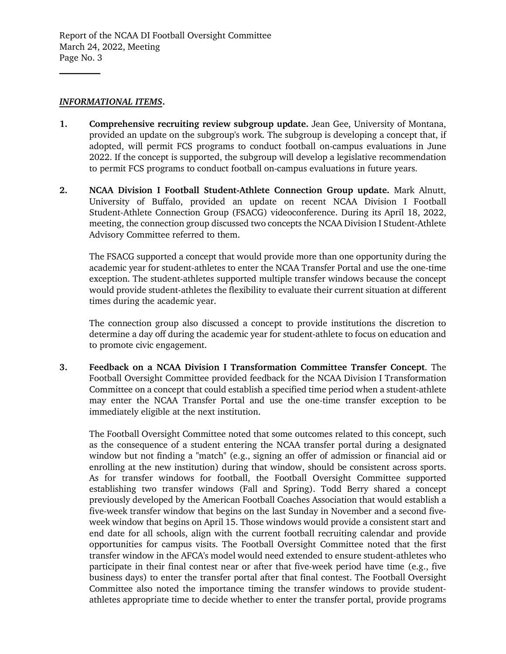## *INFORMATIONAL ITEMS***.**

 $\mathcal{L}_\text{max}$ 

- **1. Comprehensive recruiting review subgroup update.** Jean Gee, University of Montana, provided an update on the subgroup's work. The subgroup is developing a concept that, if adopted, will permit FCS programs to conduct football on-campus evaluations in June 2022. If the concept is supported, the subgroup will develop a legislative recommendation to permit FCS programs to conduct football on-campus evaluations in future years.
- **2. NCAA Division I Football Student-Athlete Connection Group update.** Mark Alnutt, University of Buffalo, provided an update on recent NCAA Division I Football Student-Athlete Connection Group (FSACG) videoconference. During its April 18, 2022, meeting, the connection group discussed two concepts the NCAA Division I Student-Athlete Advisory Committee referred to them.

The FSACG supported a concept that would provide more than one opportunity during the academic year for student-athletes to enter the NCAA Transfer Portal and use the one-time exception. The student-athletes supported multiple transfer windows because the concept would provide student-athletes the flexibility to evaluate their current situation at different times during the academic year.

The connection group also discussed a concept to provide institutions the discretion to determine a day off during the academic year for student-athlete to focus on education and to promote civic engagement.

**3. Feedback on a NCAA Division I Transformation Committee Transfer Concept**. The Football Oversight Committee provided feedback for the NCAA Division I Transformation Committee on a concept that could establish a specified time period when a student-athlete may enter the NCAA Transfer Portal and use the one-time transfer exception to be immediately eligible at the next institution.

The Football Oversight Committee noted that some outcomes related to this concept, such as the consequence of a student entering the NCAA transfer portal during a designated window but not finding a "match" (e.g., signing an offer of admission or financial aid or enrolling at the new institution) during that window, should be consistent across sports. As for transfer windows for football, the Football Oversight Committee supported establishing two transfer windows (Fall and Spring). Todd Berry shared a concept previously developed by the American Football Coaches Association that would establish a five-week transfer window that begins on the last Sunday in November and a second fiveweek window that begins on April 15. Those windows would provide a consistent start and end date for all schools, align with the current football recruiting calendar and provide opportunities for campus visits. The Football Oversight Committee noted that the first transfer window in the AFCA's model would need extended to ensure student-athletes who participate in their final contest near or after that five-week period have time (e.g., five business days) to enter the transfer portal after that final contest. The Football Oversight Committee also noted the importance timing the transfer windows to provide studentathletes appropriate time to decide whether to enter the transfer portal, provide programs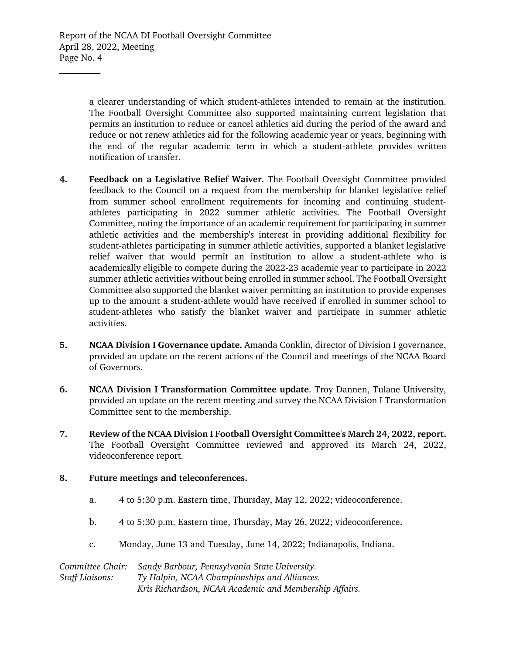$\mathcal{L}_\text{max}$ 

a clearer understanding of which student-athletes intended to remain at the institution. The Football Oversight Committee also supported maintaining current legislation that permits an institution to reduce or cancel athletics aid during the period of the award and reduce or not renew athletics aid for the following academic year or years, beginning with the end of the regular academic term in which a student-athlete provides written notification of transfer.

- **4. Feedback on a Legislative Relief Waiver.** The Football Oversight Committee provided feedback to the Council on a request from the membership for blanket legislative relief from summer school enrollment requirements for incoming and continuing studentathletes participating in 2022 summer athletic activities. The Football Oversight Committee, noting the importance of an academic requirement for participating in summer athletic activities and the membership's interest in providing additional flexibility for student-athletes participating in summer athletic activities, supported a blanket legislative relief waiver that would permit an institution to allow a student-athlete who is academically eligible to compete during the 2022-23 academic year to participate in 2022 summer athletic activities without being enrolled in summer school. The Football Oversight Committee also supported the blanket waiver permitting an institution to provide expenses up to the amount a student-athlete would have received if enrolled in summer school to student-athletes who satisfy the blanket waiver and participate in summer athletic activities.
- **5. NCAA Division I Governance update.** Amanda Conklin, director of Division I governance, provided an update on the recent actions of the Council and meetings of the NCAA Board of Governors.
- **6. NCAA Division I Transformation Committee update**. Troy Dannen, Tulane University, provided an update on the recent meeting and survey the NCAA Division I Transformation Committee sent to the membership.
- **7. Review of the NCAA Division I Football Oversight Committee's March 24, 2022, report.**  The Football Oversight Committee reviewed and approved its March 24, 2022, videoconference report.
- **8. Future meetings and teleconferences.**
	- a. 4 to 5:30 p.m. Eastern time, Thursday, May 12, 2022; videoconference.
	- b. 4 to 5:30 p.m. Eastern time, Thursday, May 26, 2022; videoconference.
	- c. Monday, June 13 and Tuesday, June 14, 2022; Indianapolis, Indiana.

*Committee Chair: Sandy Barbour, Pennsylvania State University. Staff Liaisons: Ty Halpin, NCAA Championships and Alliances. Kris Richardson, NCAA Academic and Membership Affairs.*